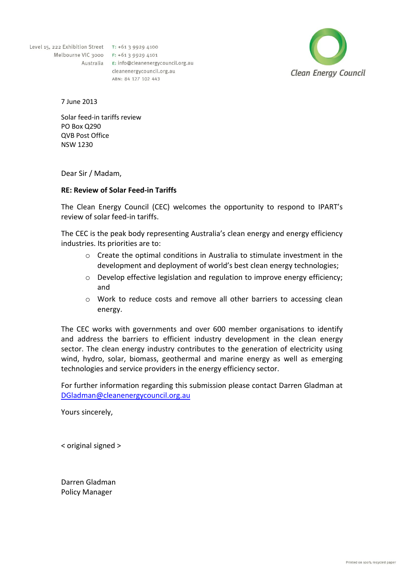Level 15, 222 Exhibition Street T: +61 3 9929 4100 Melbourne VIC 3000 F: +61 3 9929 4101

Australia E: info@cleanenergycouncil.org.au cleanenergycouncil.org.au ABN: 84 127 102 443



7 June 2013

Solar feed-in tariffs review PO Box Q290 QVB Post Office NSW 1230

Dear Sir / Madam,

## **RE: Review of Solar Feed-in Tariffs**

The Clean Energy Council (CEC) welcomes the opportunity to respond to IPART's review of solar feed-in tariffs.

The CEC is the peak body representing Australia's clean energy and energy efficiency industries. Its priorities are to:

- o Create the optimal conditions in Australia to stimulate investment in the development and deployment of world's best clean energy technologies;
- o Develop effective legislation and regulation to improve energy efficiency; and
- o Work to reduce costs and remove all other barriers to accessing clean energy.

The CEC works with governments and over 600 member organisations to identify and address the barriers to efficient industry development in the clean energy sector. The clean energy industry contributes to the generation of electricity using wind, hydro, solar, biomass, geothermal and marine energy as well as emerging technologies and service providers in the energy efficiency sector.

For further information regarding this submission please contact Darren Gladman at [DGladman@cleanenergycouncil.org.au](mailto:DGladman@cleanenergycouncil.org.au)

Yours sincerely,

< original signed >

Darren Gladman Policy Manager